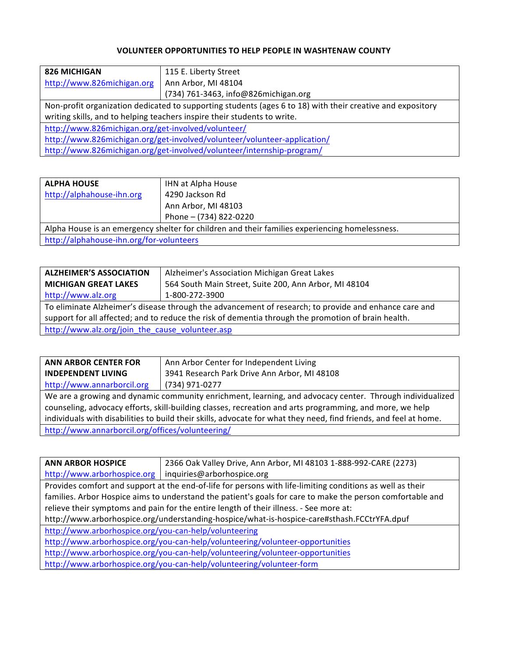## **VOLUNTEER OPPORTUNITIES TO HELP PEOPLE IN WASHTENAW COUNTY**

| 115 E. Liberty Street                                                                                      |  |  |
|------------------------------------------------------------------------------------------------------------|--|--|
| Ann Arbor, MI 48104                                                                                        |  |  |
| (734) 761-3463, info@826michigan.org                                                                       |  |  |
| Non-profit organization dedicated to supporting students (ages 6 to 18) with their creative and expository |  |  |
| writing skills, and to helping teachers inspire their students to write.                                   |  |  |
| http://www.826michigan.org/get-involved/volunteer/                                                         |  |  |
| http://www.826michigan.org/get-involved/volunteer/volunteer-application/                                   |  |  |
| http://www.826michigan.org/get-involved/volunteer/internship-program/                                      |  |  |
|                                                                                                            |  |  |

| <b>ALPHA HOUSE</b>                                                                             | IHN at Alpha House     |
|------------------------------------------------------------------------------------------------|------------------------|
| http://alphahouse-ihn.org                                                                      | 4290 Jackson Rd        |
|                                                                                                | Ann Arbor, MI 48103    |
|                                                                                                | Phone - (734) 822-0220 |
| Alpha House is an emergency shelter for children and their families experiencing homelessness. |                        |
| http://alphahouse-ihn.org/for-volunteers                                                       |                        |

| <b>ALZHEIMER'S ASSOCIATION</b>                                                                        | Alzheimer's Association Michigan Great Lakes          |
|-------------------------------------------------------------------------------------------------------|-------------------------------------------------------|
| <b>MICHIGAN GREAT LAKES</b>                                                                           | 564 South Main Street, Suite 200, Ann Arbor, MI 48104 |
| http://www.alz.org                                                                                    | 1-800-272-3900                                        |
| To eliminate Alzheimer's disease through the advancement of research; to provide and enhance care and |                                                       |
| support for all affected; and to reduce the risk of dementia through the promotion of brain health.   |                                                       |
| http://www.alz.org/join_the_cause_volunteer.asp                                                       |                                                       |

| <b>ANN ARBOR CENTER FOR</b>                                                                                       | Ann Arbor Center for Independent Living      |
|-------------------------------------------------------------------------------------------------------------------|----------------------------------------------|
| <b>INDEPENDENT LIVING</b>                                                                                         | 3941 Research Park Drive Ann Arbor, MI 48108 |
| http://www.annarborcil.org                                                                                        | (734) 971-0277                               |
| We are a growing and dynamic community enrichment, learning, and advocacy center. Through individualized          |                                              |
| counseling, advocacy efforts, skill-building classes, recreation and arts programming, and more, we help          |                                              |
| individuals with disabilities to build their skills, advocate for what they need, find friends, and feel at home. |                                              |
| http://www.annarborcil.org/offices/volunteering/                                                                  |                                              |

| <b>ANN ARBOR HOSPICE</b>                                                                                   | 2366 Oak Valley Drive, Ann Arbor, MI 48103 1-888-992-CARE (2273)                                           |  |
|------------------------------------------------------------------------------------------------------------|------------------------------------------------------------------------------------------------------------|--|
| http://www.arborhospice.org                                                                                | inquiries@arborhospice.org                                                                                 |  |
|                                                                                                            | Provides comfort and support at the end-of-life for persons with life-limiting conditions as well as their |  |
| families. Arbor Hospice aims to understand the patient's goals for care to make the person comfortable and |                                                                                                            |  |
|                                                                                                            | relieve their symptoms and pain for the entire length of their illness. - See more at:                     |  |
| http://www.arborhospice.org/understanding-hospice/what-is-hospice-care#sthash.FCCtrYFA.dpuf                |                                                                                                            |  |
| http://www.arborhospice.org/you-can-help/volunteering                                                      |                                                                                                            |  |
| http://www.arborhospice.org/you-can-help/volunteering/volunteer-opportunities                              |                                                                                                            |  |
| http://www.arborhospice.org/you-can-help/volunteering/volunteer-opportunities                              |                                                                                                            |  |
| http://www.arborhospice.org/you-can-help/volunteering/volunteer-form                                       |                                                                                                            |  |
|                                                                                                            |                                                                                                            |  |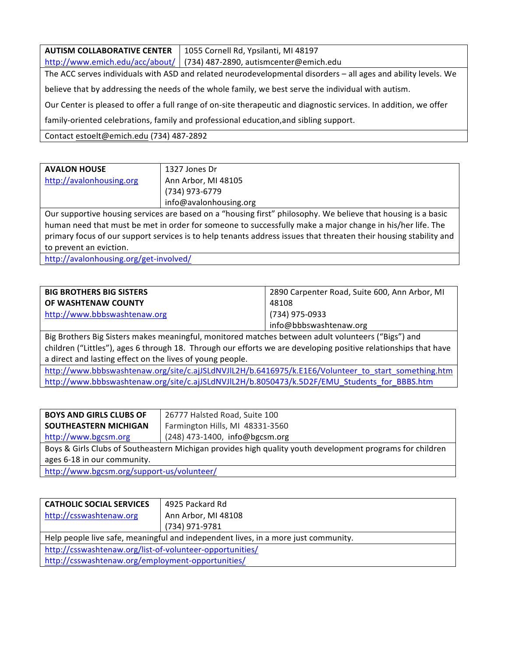**AUTISM COLLABORATIVE CENTER** http://www.emich.edu/acc/about/ 1055 Cornell Rd, Ypsilanti, MI 48197 (734) 487-2890, autismcenter@emich.edu The ACC serves individuals with ASD and related neurodevelopmental disorders - all ages and ability levels. We believe that by addressing the needs of the whole family, we best serve the individual with autism. Our Center is pleased to offer a full range of on-site therapeutic and diagnostic services. In addition, we offer family-oriented celebrations, family and professional education,and sibling support. Contact estoelt@emich.edu (734) 487-2892

| <b>AVALON HOUSE</b>                                                                                               | 1327 Jones Dr                                                                                             |  |
|-------------------------------------------------------------------------------------------------------------------|-----------------------------------------------------------------------------------------------------------|--|
| http://avalonhousing.org                                                                                          | Ann Arbor, MI 48105                                                                                       |  |
|                                                                                                                   | (734) 973-6779                                                                                            |  |
|                                                                                                                   | info@avalonhousing.org                                                                                    |  |
| Our supportive housing services are based on a "housing first" philosophy. We believe that housing is a basic     |                                                                                                           |  |
|                                                                                                                   | human need that must be met in order for someone to successfully make a major change in his/her life. The |  |
| primary focus of our support services is to help tenants address issues that threaten their housing stability and |                                                                                                           |  |
| to prevent an eviction.                                                                                           |                                                                                                           |  |
|                                                                                                                   |                                                                                                           |  |

http://avalonhousing.org/get-involved/

| <b>BIG BROTHERS BIG SISTERS</b> | 2890 Carpenter Road, Suite 600, Ann Arbor, MI |
|---------------------------------|-----------------------------------------------|
| <b>OF WASHTENAW COUNTY</b>      | 48108                                         |
| http://www.bbbswashtenaw.org    | (734) 975-0933                                |
|                                 | info@bbbswashtenaw.org                        |

Big Brothers Big Sisters makes meaningful, monitored matches between adult volunteers ("Bigs") and children ("Littles"), ages 6 through 18. Through our efforts we are developing positive relationships that have a direct and lasting effect on the lives of young people.

http://www.bbbswashtenaw.org/site/c.ajJSLdNVJlL2H/b.6416975/k.E1E6/Volunteer\_to\_start\_something.htm http://www.bbbswashtenaw.org/site/c.ajJSLdNVJlL2H/b.8050473/k.5D2F/EMU\_Students\_for\_BBBS.htm

| <b>BOYS AND GIRLS CLUBS OF</b>                                                                            | 26777 Halsted Road, Suite 100    |
|-----------------------------------------------------------------------------------------------------------|----------------------------------|
| SOUTHEASTERN MICHIGAN                                                                                     | Farmington Hills, MI 48331-3560  |
| http://www.bgcsm.org                                                                                      | $(248)$ 473-1400, info@bgcsm.org |
| Boys & Girls Clubs of Southeastern Michigan provides high quality youth development programs for children |                                  |
| ages 6-18 in our community.                                                                               |                                  |
| $http://www.hacsm.org/cunpart.us/volumact/$                                                               |                                  |

http://www.bgcsm.org/support-us/volunteer/

| <b>CATHOLIC SOCIAL SERVICES</b><br>http://csswashtenaw.org                         | 4925 Packard Rd<br>Ann Arbor, MI 48108 |
|------------------------------------------------------------------------------------|----------------------------------------|
|                                                                                    |                                        |
|                                                                                    | (734) 971-9781                         |
| Help people live safe, meaningful and independent lives, in a more just community. |                                        |
| http://csswashtenaw.org/list-of-volunteer-opportunities/                           |                                        |
| http://csswashtenaw.org/employment-opportunities/                                  |                                        |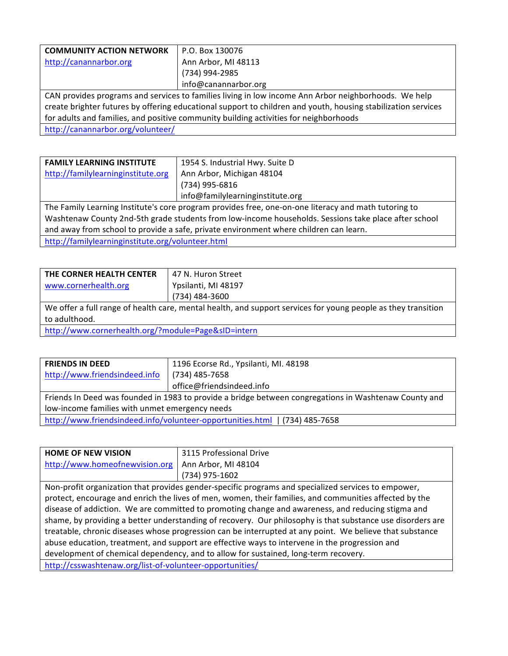| <b>COMMUNITY ACTION NETWORK</b>                                                                      | P.O. Box 130076                                                                                               |
|------------------------------------------------------------------------------------------------------|---------------------------------------------------------------------------------------------------------------|
| http://canannarbor.org                                                                               | Ann Arbor, MI 48113                                                                                           |
|                                                                                                      | (734) 994-2985                                                                                                |
|                                                                                                      | info@canannarbor.org                                                                                          |
| CAN provides programs and services to families living in low income Ann Arbor neighborhoods. We help |                                                                                                               |
|                                                                                                      | create brighter futures by offering educational support to children and youth, housing stabilization services |
| for adults and families, and positive community building activities for neighborhoods                |                                                                                                               |
| http://canannarbor.org/volunteer/                                                                    |                                                                                                               |
|                                                                                                      |                                                                                                               |

| <b>FAMILY LEARNING INSTITUTE</b>                                                                     | 1954 S. Industrial Hwy. Suite D  |  |
|------------------------------------------------------------------------------------------------------|----------------------------------|--|
| http://familylearninginstitute.org                                                                   | Ann Arbor, Michigan 48104        |  |
|                                                                                                      | (734) 995-6816                   |  |
|                                                                                                      | info@familylearninginstitute.org |  |
| The Family Learning Institute's core program provides free, one-on-one literacy and math tutoring to |                                  |  |
| Washtenaw County 2nd-5th grade students from low-income households. Sessions take place after school |                                  |  |
| and away from school to provide a safe, private environment where children can learn.                |                                  |  |
| http://familylearninginstitute.org/volunteer.html                                                    |                                  |  |

| THE CORNER HEALTH CENTER                                                                                      | 47 N. Huron Street  |
|---------------------------------------------------------------------------------------------------------------|---------------------|
| www.cornerhealth.org                                                                                          | Ypsilanti, MI 48197 |
|                                                                                                               | (734) 484-3600      |
| We offer a full range of health care, mental health, and support services for young people as they transition |                     |
| to adulthood.                                                                                                 |                     |
| http://www.cornerhealth.org/?module=Page&sID=intern                                                           |                     |

| <b>FRIENDS IN DEED</b>                                                                                | 1196 Ecorse Rd., Ypsilanti, MI. 48198 |
|-------------------------------------------------------------------------------------------------------|---------------------------------------|
| http://www.friendsindeed.info                                                                         | (734) 485-7658                        |
|                                                                                                       | office@friendsindeed.info             |
| Friends In Deed was founded in 1983 to provide a bridge between congregations in Washtenaw County and |                                       |
| low-income families with unmet emergency needs                                                        |                                       |
| http://www.friendsindeed.info/volunteer-opportunities.html   (734) 485-7658                           |                                       |

| <b>HOME OF NEW VISION</b>                                                                                | 3115 Professional Drive                                                                                    |  |
|----------------------------------------------------------------------------------------------------------|------------------------------------------------------------------------------------------------------------|--|
| http://www.homeofnewvision.org                                                                           | Ann Arbor, MI 48104                                                                                        |  |
|                                                                                                          | (734) 975-1602                                                                                             |  |
|                                                                                                          | Non-profit organization that provides gender-specific programs and specialized services to empower,        |  |
| protect, encourage and enrich the lives of men, women, their families, and communities affected by the   |                                                                                                            |  |
| disease of addiction. We are committed to promoting change and awareness, and reducing stigma and        |                                                                                                            |  |
|                                                                                                          | shame, by providing a better understanding of recovery. Our philosophy is that substance use disorders are |  |
| treatable, chronic diseases whose progression can be interrupted at any point. We believe that substance |                                                                                                            |  |
| abuse education, treatment, and support are effective ways to intervene in the progression and           |                                                                                                            |  |
| development of chemical dependency, and to allow for sustained, long-term recovery.                      |                                                                                                            |  |
| http://csswashtenaw.org/list-of-volunteer-opportunities/                                                 |                                                                                                            |  |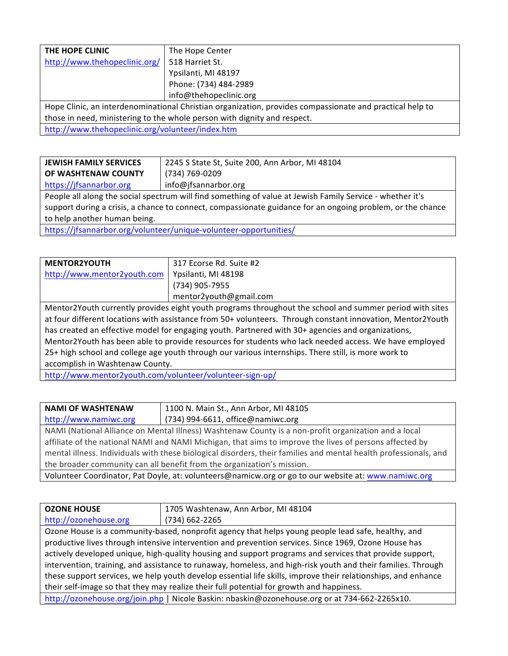| THE HOPE CLINIC                                                                                          | The Hope Center        |
|----------------------------------------------------------------------------------------------------------|------------------------|
| http://www.thehopeclinic.org/                                                                            | 518 Harriet St.        |
|                                                                                                          | Ypsilanti, MI 48197    |
|                                                                                                          | Phone: (734) 484-2989  |
|                                                                                                          | info@thehopeclinic.org |
| Hope Clinic, an interdenominational Christian organization, provides compassionate and practical help to |                        |
| those in need, ministering to the whole person with dignity and respect.                                 |                        |
| http://www.thehopeclinic.org/volunteer/index.htm                                                         |                        |

| <b>JEWISH FAMILY SERVICES</b>                                                                              | 2245 S State St, Suite 200, Ann Arbor, MI 48104 |  |
|------------------------------------------------------------------------------------------------------------|-------------------------------------------------|--|
| OF WASHTENAW COUNTY                                                                                        | (734) 769-0209                                  |  |
| https://jfsannarbor.org                                                                                    | info@jfsannarbor.org                            |  |
| People all along the social spectrum will find something of value at Jewish Family Service - whether it's  |                                                 |  |
| support during a crisis, a chance to connect, compassionate guidance for an ongoing problem, or the chance |                                                 |  |
| to help another human being.                                                                               |                                                 |  |
| https://jfsannarbor.org/volunteer/unique-volunteer-opportunities/                                          |                                                 |  |

**MENTOR2YOUTH** http://www.mentor2youth.com 317 Ecorse Rd. Suite #2 Ypsilanti, MI 48198 (734) 905-7955 mentor2youth@gmail.com Mentor2Youth currently provides eight youth programs throughout the school and summer period with sites at four different locations with assistance from 50+ volunteers. Through constant innovation, Mentor2Youth has created an effective model for engaging youth. Partnered with 30+ agencies and organizations, Mentor2Youth has been able to provide resources for students who lack needed access. We have employed 25+ high school and college age youth through our various internships. There still, is more work to

accomplish in Washtenaw County.

http://www.mentor2youth.com/volunteer/volunteer-sign-up/

| <b>NAMI OF WASHTENAW</b>                                                                                | 1100 N. Main St., Ann Arbor, MI 48105 |
|---------------------------------------------------------------------------------------------------------|---------------------------------------|
| http://www.namiwc.org                                                                                   | $(734)$ 994-6611, office@namiwc.org   |
| NAMI (National Alliance on Mental Illness) Washtenaw County is a non-profit organization and a local    |                                       |
| affiliate of the national NAMI and NAMI Michigan, that aims to improve the lives of persons affected by |                                       |

mental illness. Individuals with these biological disorders, their families and mental health professionals, and the broader community can all benefit from the organization's mission.

Volunteer Coordinator, Pat Doyle, at: volunteers@namicw.org or go to our website at: www.namiwc.org

| <b>OZONE HOUSE</b>                                                                                            | 1705 Washtenaw, Ann Arbor, MI 48104                                                                  |  |
|---------------------------------------------------------------------------------------------------------------|------------------------------------------------------------------------------------------------------|--|
| http://ozonehouse.org                                                                                         | (734) 662-2265                                                                                       |  |
|                                                                                                               | Ozone House is a community-based, nonprofit agency that helps young people lead safe, healthy, and   |  |
|                                                                                                               | productive lives through intensive intervention and prevention services. Since 1969, Ozone House has |  |
| actively developed unique, high-quality housing and support programs and services that provide support,       |                                                                                                      |  |
| intervention, training, and assistance to runaway, homeless, and high-risk youth and their families. Through  |                                                                                                      |  |
| these support services, we help youth develop essential life skills, improve their relationships, and enhance |                                                                                                      |  |
| their self-image so that they may realize their full potential for growth and happiness.                      |                                                                                                      |  |
| http://ozonehouse.org/join.php   Nicole Baskin: nbaskin@ozonehouse.org or at 734-662-2265x10.                 |                                                                                                      |  |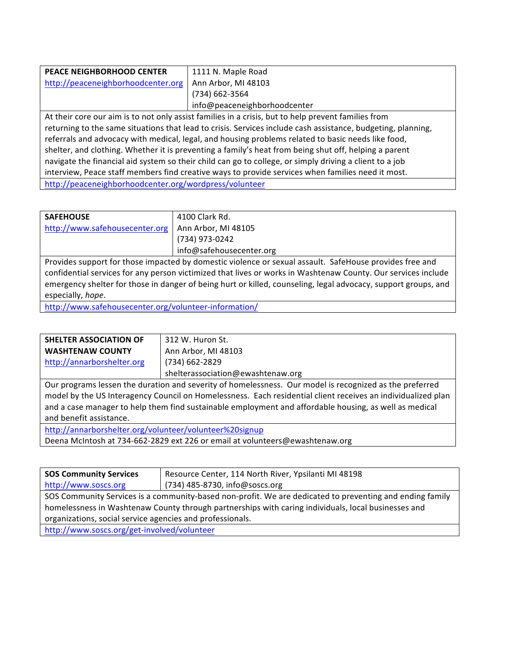| <b>PEACE NEIGHBORHOOD CENTER</b><br>http://peaceneighborhoodcenter.org                                                                                                                                             | 1111 N. Maple Road<br>Ann Arbor, MI 48103<br>(734) 662-3564 |
|--------------------------------------------------------------------------------------------------------------------------------------------------------------------------------------------------------------------|-------------------------------------------------------------|
|                                                                                                                                                                                                                    | info@peaceneighborhoodcenter                                |
| At their core our aim is to not only assist families in a crisis, but to help prevent families from                                                                                                                |                                                             |
| returning to the same situations that lead to crisis. Services include cash assistance, budgeting, planning,<br>referrals and advocacy with medical, legal, and housing problems related to basic needs like food, |                                                             |

shelter, and clothing. Whether it is preventing a family's heat from being shut off, helping a parent navigate the financial aid system so their child can go to college, or simply driving a client to a job

interview, Peace staff members find creative ways to provide services when families need it most.

http://peaceneighborhoodcenter.org/wordpress/volunteer

| <b>SAFEHOUSE</b>                                                                                        | 4100 Clark Rd.           |
|---------------------------------------------------------------------------------------------------------|--------------------------|
| http://www.safehousecenter.org                                                                          | Ann Arbor, MI 48105      |
|                                                                                                         | (734) 973-0242           |
|                                                                                                         | info@safehousecenter.org |
| Provides support for those impacted by domestic violence or sexual assault. SafeHouse provides free and |                          |
|                                                                                                         |                          |

confidential services for any person victimized that lives or works in Washtenaw County. Our services include emergency shelter for those in danger of being hurt or killed, counseling, legal advocacy, support groups, and especially, hope.

http://www.safehousecenter.org/volunteer-information/

| SHELTER ASSOCIATION OF                                                                                       | 312 W. Huron St.                  |  |
|--------------------------------------------------------------------------------------------------------------|-----------------------------------|--|
| <b>WASHTENAW COUNTY</b>                                                                                      | Ann Arbor, MI 48103               |  |
| http://annarborshelter.org                                                                                   | (734) 662-2829                    |  |
|                                                                                                              | shelterassociation@ewashtenaw.org |  |
| Our programs lessen the duration and severity of homelessness. Our model is recognized as the preferred      |                                   |  |
| model by the US Interagency Council on Homelessness. Each residential client receives an individualized plan |                                   |  |
| and a case manager to help them find sustainable employment and affordable housing, as well as medical       |                                   |  |
| and benefit assistance.                                                                                      |                                   |  |
| http://annarborshelter.org/volunteer/volunteer%20signup                                                      |                                   |  |

Deena McIntosh at 734-662-2829 ext 226 or email at volunteers@ewashtenaw.org

| <b>SOS Community Services</b>                                                                            | Resource Center, 114 North River, Ypsilanti MI 48198 |  |
|----------------------------------------------------------------------------------------------------------|------------------------------------------------------|--|
| http://www.soscs.org                                                                                     | (734) 485-8730, info@soscs.org                       |  |
| SOS Community Services is a community-based non-profit. We are dedicated to preventing and ending family |                                                      |  |
| homelessness in Washtenaw County through partnerships with caring individuals, local businesses and      |                                                      |  |
| organizations, social service agencies and professionals.                                                |                                                      |  |
| http://www.soscs.org/get-involved/volunteer                                                              |                                                      |  |